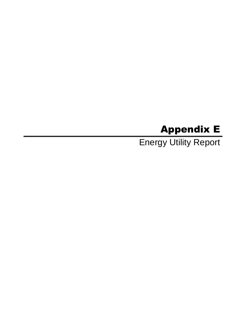# Appendix E

Energy Utility Report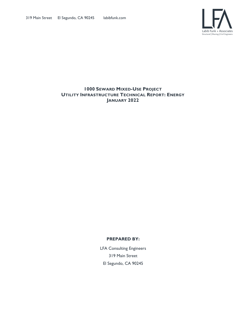

#### **1000 SEWARD MIXED-USE PROJECT UTILITY INFRASTRUCTURE TECHNICAL REPORT: ENERGY JANUARY 2022**

#### **PREPARED BY:**

LFA Consulting Engineers 319 Main Street El Segundo, CA 90245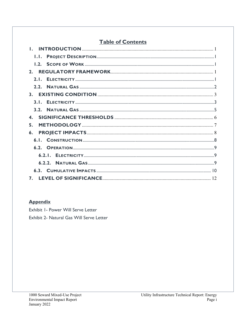# **Table of Contents**

| 2.               |
|------------------|
| 2.1.             |
| 2.2 <sub>1</sub> |
|                  |
| 3.1.             |
|                  |
| $\mathbf{4}$ .   |
| 5.               |
| $\mathbf{6}$ .   |
|                  |
|                  |
|                  |
|                  |
|                  |
| 7.               |

# **Appendix**

Exhibit I- Power Will Serve Letter Exhibit 2- Natural Gas Will Serve Letter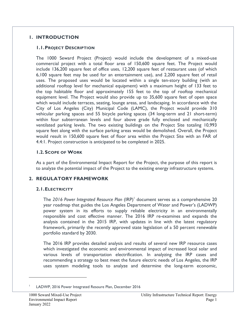#### **1. INTRODUCTION**

#### **1.1.PROJECT DESCRIPTION**

The 1000 Seward Project (Project) would include the development of a mixed-use commercial project with a total floor area of 150,600 square feet. The Project would include 136,200 square feet of office uses, 12,200 square feet of restaurant uses (of which 6,100 square feet may be used for an entertainment use), and 2,200 square feet of retail uses. The proposed uses would be located within a single ten-story building (with an additional rooftop level for mechanical equipment) with a maximum height of 133 feet to the top habitable floor and approximately 155 feet to the top of rooftop mechanical equipment level. The Project would also provide up to 35,600 square feet of open space which would include terraces, seating, lounge areas, and landscaping. In accordance with the City of Los Angeles (City) Municipal Code (LAMC), the Project would provide 310 vehicular parking spaces and 55 bicycle parking spaces (34 long-term and 21 short-term) within four subterranean levels and four above grade fully enclosed and mechanically ventilated parking levels. The two existing buildings on the Project Site totaling 10,993 square feet along with the surface parking areas would be demolished. Overall, the Project would result in 150,600 square feet of floor area within the Project Site with an FAR of 4.4:1. Project construction is anticipated to be completed in 2025.

#### **1.2. SCOPE OF WORK**

As a part of the Environmental Impact Report for the Project, the purpose of this report is to analyze the potential impact of the Project to the existing energy infrastructure systems.

# **2. REGULATORY FRAMEWORK**

#### **2.1.ELECTRICITY**

The 2016 Power Integrated Resource Plan (IRP)<sup>1</sup> document serves as a comprehensive 20 year roadmap that guides the Los Angeles Department of Water and Power's (LADWP) power system in its efforts to supply reliable electricity in an environmentally responsible and cost effective manner. The 2016 IRP re-examines and expands the analysis contained in the 2015 IRP, with updates in line with the latest regulatory framework, primarily the recently approved state legislation of a 50 percent renewable portfolio standard by 2030.

The 2016 IRP provides detailed analysis and results of several new IRP resource cases which investigated the economic and environmental impact of increased local solar and various levels of transportation electrification. In analyzing the IRP cases and recommending a strategy to best meet the future electric needs of Los Angeles, the IRP uses system modeling tools to analyze and determine the long-term economic,

<sup>1</sup> LADWP, 2016 Power Integrated Resoure Plan, December 2016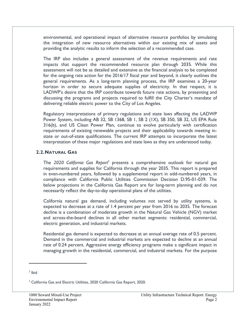environmental, and operational impact of alternative resource portfolios by simulating the integration of new resource alternatives within our existing mix of assets and providing the analytic results to inform the selection of a recommended case.

The IRP also includes a general assessment of the revenue requirements and rate impacts that support the recommended resource plan through 2035. While this assessment will not be as detailed and extensive as the financial analysis to be completed for the ongoing rate action for the 2016/17 fiscal year and beyond, it clearly outlines the general requirements. As a long-term planning process, the IRP examines a 20-year horizon in order to secure adequate supplies of electricity. In that respect, it is LADWP's desire that the IRP contribute towards future rate actions, by presenting and discussing the programs and projects required to fulfill the City Charter's mandate of delivering reliable electric power to the City of Los Angeles.

Regulatory interpretations of primary regulations and state laws affecting the LADWP Power System, including AB 32, SB 1368, SB 1, SB 2 (1X), SB 350, SB 32, US EPA Rule 316(b), and US Clean Power Plan, continue to evolve particularly with certification requirements of existing renewable projects and their applicability towards meeting instate or out-of-state qualifications. The current IRP attempts to incorporate the latest interpretation of these major regulations and state laws as they are understood today.

#### **2.2.NATURAL GAS**

The *2020 California Gas Report*<sup>3</sup> presents a comprehensive outlook for natural gas requirements and supplies for California through the year 2035. This report is prepared in even-numbered years, followed by a supplemental report in odd-numbered years, in compliance with California Public Utilities Commission Decision D.95-01-039. The below projections in the California Gas Report are for long-term planning and do not necessarily reflect the day-to-day operational plans of the utilities.

California natural gas demand, including volumes not served by utility systems, is expected to decrease at a rate of 1.4 percent per year from 2016 to 2035. The forecast decline is a combination of moderate growth in the Natural Gas Vehicle (NGV) market and across-the-board declines in all other market segments: residential, commercial, electric generation, and industrial markets.

Residential gas demand is expected to decrease at an annual average rate of 0.5 percent. Demand in the commercial and industrial markets are expected to decline at an annual rate of 0.24 percent. Aggressive energy efficiency programs make a significant impact in managing growth in the residential, commercial, and industrial markets. For the purpose

<sup>2</sup> Ibid

<sup>&</sup>lt;sup>3</sup> California Gas and Electric Utilities, 2020 California Gas Report, 2020.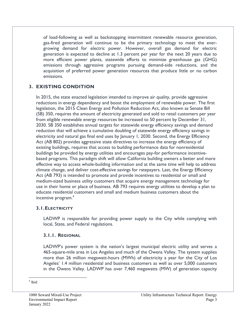of load-following as well as backstopping intermittent renewable resource generation, gas-fired generation will continue to be the primary technology to meet the evergrowing demand for electric power. However, overall gas demand for electric generation is expected to decline at 1.3 percent per year for the next 20 years due to more efficient power plants, statewide efforts to minimize greenhouse gas (GHG) emissions through aggressive programs pursuing demand-side reductions, and the acquisition of preferred power generation resources that produce little or no carbon emissions.

# **3. EXISTING CONDITION**

In 2015, the state enacted legislation intended to improve air quality, provide aggressive reductions in energy dependency and boost the employment of renewable power. The first legislation, the 2015 Clean Energy and Pollution Reduction Act, also known as Senate Bill (SB) 350, requires the amount of electricity generated and sold to retail customers per year from eligible renewable energy resources be increased to 50 percent by December 31, 2030. SB 350 establishes annual targets for statewide energy efficiency savings and demand reduction that will achieve a cumulative doubling of statewide energy efficiency savings in electricity and natural gas final end uses by January 1, 2030. Second, the Energy Efficiency Act (AB 802) provides aggressive state directives to increase the energy efficiency of existing buildings, requires that access to building performance data for nonresidential buildings be provided by energy utilities and encourages pay-for performance incentivebased programs. This paradigm shift will allow California building owners a better and more effective way to access whole-building information and at the same time will help to address climate change, and deliver cost-effective savings for ratepayers. Last, the Energy Efficiency Act (AB 793) is intended to promote and provide incentives to residential or small and medium-sized business utility customers that acquire energy management technology for use in their home or place of business. AB 793 requires energy utilities to develop a plan to educate residential customers and small and medium business customers about the incentive program.<sup>4</sup>

#### **3.1.ELECTRICITY**

LADWP is responsible for providing power supply to the City while complying with local, State, and Federal regulations.

#### **3.1.1. REGIONAL**

LADWP's power system is the nation's largest municipal electric utility and serves a 465-square-mile area in Los Angeles and much of the Owens Valley. The system supplies more than 26 million megawatt-hours (MWh) of electricity a year for the City of Los Angeles' 1.4 million residential and business customers as well as over 5,000 customers in the Owens Valley. LADWP has over 7,460 megawatts (MW) of generation capacity

4 Ibid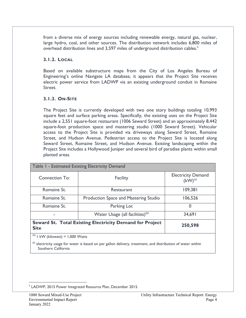from a diverse mix of energy sources including renewable energy, natural gas, nuclear, large hydro, coal, and other sources. The distribution network includes 6,800 miles of overhead distribution lines and 3,597 miles of underground distribution cables.<sup>5</sup>

#### **3.1.2. LOCAL**

Based on available substructure maps from the City of Los Angeles Bureau of Engineering's online Navigate LA database, it appears that the Project Site receives electric power service from LADWP via an existing underground conduit in Romaine Street.

# **3.1.3. ON-SITE**

The Project Site is currently developed with two one story buildings totaling 10,993 square feet and surface parking areas. Specifically, the existing uses on the Project Site include a 2,551 square-foot restaurant (1006 Seward Street) and an approximately 8,442 square-foot production space and mastering studio (1000 Seward Street). Vehicular access to the Project Site is provided via driveways along Seward Street, Romaine Street, and Hudson Avenue. Pedestrian access to the Project Site is located along Seward Street, Romaine Street, and Hudson Avenue. Existing landscaping within the Project Site includes a Hollywood Juniper and several bird of paradise plants within small planted areas.

| Table 1 - Estimated Existing Electricity Demand                         |                                              |                                           |  |  |
|-------------------------------------------------------------------------|----------------------------------------------|-------------------------------------------|--|--|
| <b>Connection To:</b>                                                   | <b>Facility</b>                              | <b>Electricity Demand</b><br>$(kW)^{(a)}$ |  |  |
| Romaine St.                                                             | Restaurant                                   | 109,381                                   |  |  |
| Romaine St.                                                             | <b>Production Space and Mastering Studio</b> | 106,526                                   |  |  |
| Romaine St.                                                             | Parking Lot                                  | 0                                         |  |  |
|                                                                         | Water Usage (all facilities) $(b)$           | 34,691                                    |  |  |
| Seward St. Total Existing Electricity Demand for Project<br><b>Site</b> | 250,598                                      |                                           |  |  |
| (a)<br>$I$ kW (kilowatt) = 1,000 Watts                                  |                                              |                                           |  |  |

 $<sup>(b)</sup>$  electricity usage for water is based on per gallon delivery, treatment, and distribution of water within</sup> Southern California

<sup>&</sup>lt;sup>5</sup> LADWP, 2015 Power Integrated Resource Plan, December 2015.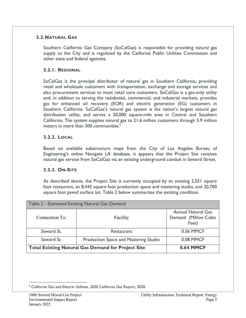#### **3.2.NATURAL GAS**

Southern California Gas Company (SoCalGas) is responsible for providing natural gas supply to the City and is regulated by the California Public Utilities Commission and other state and federal agencies.

#### **3.2.1. REGIONAL**

SoCalGas is the principal distributor of natural gas in Southern California, providing retail and wholesale customers with transportation, exchange and storage services and also procurement services to most retail core customers. SoCalGas is a gas-only utility and, in addition to serving the residential, commercial, and industrial markets, provides gas for enhanced oil recovery (EOR) and electric generation (EG) customers in Southern California. SoCalGas's natural gas system is the nation's largest natural gas distribution utility, and serves a 20,000 square-mile area in Central and Southern California. The system supplies natural gas to 21.6 million customers through 5.9 million meters in more than 500 communities.<sup>6</sup>

#### **3.2.2. LOCAL**

Based on available substructure maps from the City of Los Angeles Bureau of Engineering's online Navigate LA database, it appears that the Project Site receives natural gas service from SoCalGas via an existing underground conduit in Seward Street.

# **3.2.3. ON-SITE**

As described above, the Project Site is currently occupied by an existing 2,551 square foot restaurant, an 8,442 square foot production space and mastering studio, and 20,700 square foot paved surface lot. Table 2 below summarizes the existing condition.

| Table 2 - Estimated Existing Natural Gas Demand           |                                       |                                                             |  |  |
|-----------------------------------------------------------|---------------------------------------|-------------------------------------------------------------|--|--|
| Connection To:                                            | Facility                              | <b>Annual Natural Gas</b><br>Demand (Million Cubic<br>Feet) |  |  |
| Seward St.                                                | Restaurant                            | <b>0.56 MMCF</b>                                            |  |  |
| Seward St.                                                | Production Space and Mastering Studio | <b>0.08 MMCF</b>                                            |  |  |
| <b>Total Existing Natural Gas Demand for Project Site</b> |                                       | <b>0.64 MMCF</b>                                            |  |  |

<sup>6</sup> California Gas and Electric Utilities, 2020 California Gas Report, 2020.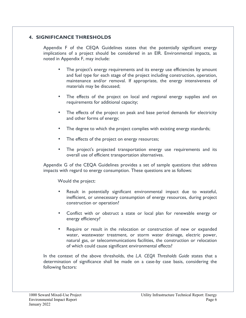#### **4. SIGNIFICANCE THRESHOLDS**

Appendix F of the CEQA Guidelines states that the potentially significant energy implications of a project should be considered in an EIR. Environmental impacts, as noted in Appendix F, may include:

- The project's energy requirements and its energy use efficiencies by amount and fuel type for each stage of the project including construction, operation, maintenance and/or removal. If appropriate, the energy intensiveness of materials may be discussed;
- The effects of the project on local and regional energy supplies and on requirements for additional capacity;
- The effects of the project on peak and base period demands for electricity and other forms of energy;
- The degree to which the project complies with existing energy standards;
- The effects of the project on energy resources;
- The project's projected transportation energy use requirements and its overall use of efficient transportation alternatives.

Appendix G of the CEQA Guidelines provides a set of sample questions that address impacts with regard to energy consumption. These questions are as follows:

Would the project:

- Result in potentially significant environmental impact due to wasteful, inefficient, or unnecessary consumption of energy resources, during project construction or operation?
- Conflict with or obstruct a state or local plan for renewable energy or energy efficiency?
- Require or result in the relocation or construction of new or expanded water, wastewater treatment, or storm water drainage, electric power, natural gas, or telecommunications facilities, the construction or relocation of which could cause significant environmental effects?

In the context of the above thresholds, the *L.A. CEQA Thresholds Guide* states that a determination of significance shall be made on a case-by case basis, considering the following factors: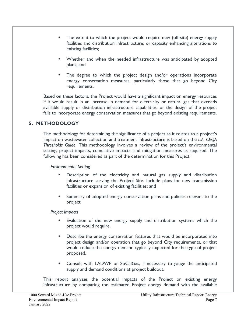- The extent to which the project would require new (off-site) energy supply facilities and distribution infrastructure; or capacity enhancing alterations to existing facilities;
- Whether and when the needed infrastructure was anticipated by adopted plans; and
- The degree to which the project design and/or operations incorporate energy conservation measures, particularly those that go beyond City requirements.

Based on these factors, the Project would have a significant impact on energy resources if it would result in an increase in demand for electricity or natural gas that exceeds available supply or distribution infrastructure capabilities, or the design of the project fails to incorporate energy conservation measures that go beyond existing requirements.

# **5. METHODOLOGY**

The methodology for determining the significance of a project as it relates to a project's impact on wastewater collection and treatment infrastructure is based on the *L.A. CEQA Thresholds Guide*. This methodology involves a review of the project's environmental setting, project impacts, cumulative impacts, and mitigation measures as required. The following has been considered as part of the determination for this Project:

*Environmental Setting* 

- Description of the electricity and natural gas supply and distribution infrastructure serving the Project Site. Include plans for new transmission facilities or expansion of existing facilities; and
- Summary of adopted energy conservation plans and policies relevant to the project

*Project Impacts* 

- Evaluation of the new energy supply and distribution systems which the project would require.
- Describe the energy conservation features that would be incorporated into project design and/or operation that go beyond City requirements, or that would reduce the energy demand typically expected for the type of project proposed.
- Consult with LADWP or SoCalGas, if necessary to gauge the anticipated supply and demand conditions at project buildout.

This report analyzes the potential impacts of the Project on existing energy infrastructure by comparing the estimated Project energy demand with the available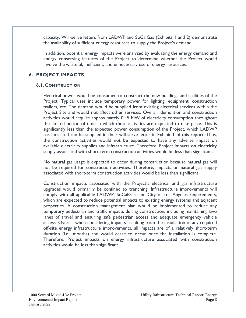capacity. Will-serve letters from LADWP and SoCalGas (Exhibits 1 and 2) demonstrate the availability of sufficient energy resources to supply the Project's demand.

In addition, potential energy impacts were analyzed by evaluating the energy demand and energy conserving features of the Project to determine whether the Project would involve the wasteful, inefficient, and unnecessary use of energy resources.

#### **6. PROJECT IMPACTS**

#### **6.1.CONSTRUCTION**

Electrical power would be consumed to construct the new buildings and facilities of the Project. Typical uses include temporary power for lighting, equipment, construction trailers, etc. The demand would be supplied from existing electrical services within the Project Site and would not affect other services. Overall, demolition and construction activities would require approximately 0.45 MW of electricity consumption throughout the limited period of time in which these activities are expected to take place. This is significantly less than the expected power consumption of the Project, which LADWP has indicated can be supplied in their will-serve letter in Exhibit I of this report. Thus, the construction activities would not be expected to have any adverse impact on available electricity supplies and infrastructure. Therefore, Project impacts on electricity supply associated with short-term construction activities would be less than significant.

No natural gas usage is expected to occur during construction because natural gas will not be required for construction activities. Therefore, impacts on natural gas supply associated with short-term construction activities would be less than significant.

Construction impacts associated with the Project's electrical and gas infrastructure upgrades would primarily be confined to trenching. Infrastructure improvements will comply with all applicable LADWP, SoCalGas, and City of Los Angeles requirements, which are expected to reduce potential impacts to existing energy systems and adjacent properties. A construction management plan would be implemented to reduce any temporary pedestrian and traffic impacts during construction, including maintaining two lanes of travel and ensuring safe pedestrian access and adequate emergency vehicle access. Overall, when considering impacts resulting from the installation of any required off-site energy infrastructure improvements, all impacts are of a relatively short-term duration (i.e., months) and would cease to occur once the installation is complete. Therefore, Project impacts on energy infrastructure associated with construction activities would be less than significant.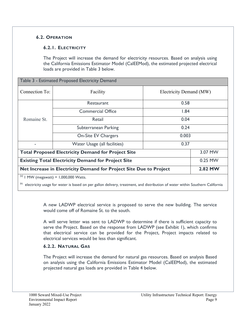# **6.2. OPERATION**

# **6.2.1. ELECTRICITY**

The Project will increase the demand for electricity resources. Based on analysis using the California Emissions Estimator Model (CalEEMod), the estimated projected electrical loads are provided in Table 3 below.

| Table 3 - Estimated Proposed Electricity Demand                    |                                             |                         |  |  |
|--------------------------------------------------------------------|---------------------------------------------|-------------------------|--|--|
| Connection To:                                                     | Facility                                    | Electricity Demand (MW) |  |  |
|                                                                    | <b>Restaurant</b>                           | 0.58                    |  |  |
| Romaine St.                                                        | <b>Commercial Office</b>                    | 1.84                    |  |  |
|                                                                    | Retail                                      | 0.04                    |  |  |
|                                                                    | Subterranean Parking                        | 0.24                    |  |  |
|                                                                    | <b>On-Site EV Chargers</b>                  | 0.003                   |  |  |
|                                                                    | Water Usage (all facilities)                | 0.37                    |  |  |
| <b>Total Proposed Electricity Demand for Project Site</b>          | 3.07 MW                                     |                         |  |  |
| <b>Existing Total Electricity Demand for Project Site</b>          | 0.25 MW                                     |                         |  |  |
| Net Increase in Electricity Demand for Project Site Due to Project | 2.82 MW                                     |                         |  |  |
|                                                                    | $^{(a)}$   MW (megawatt) = 1,000,000 Watts. |                         |  |  |

(b) electricity usage for water is based on per gallon delivery, treatment, and distribution of water within Southern California

A new LADWP electrical service is proposed to serve the new building. The service would come off of Romaine St. to the south.

A will serve letter was sent to LADWP to determine if there is sufficient capacity to serve the Project. Based on the response from LADWP (see Exhibit 1), which confirms that electrical service can be provided for the Project, Project impacts related to electrical services would be less than significant.

# **6.2.2. NATURAL GAS**

The Project will increase the demand for natural gas resources. Based on analysis Based on analysis using the California Emissions Estimator Model (CalEEMod), the estimated projected natural gas loads are provided in Table 4 below.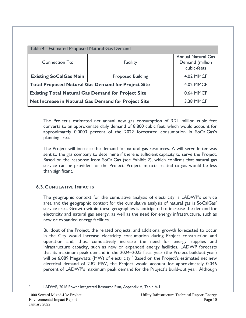| Table 4 - Estimated Proposed Natural Gas Demand           |                          |                                                             |  |  |
|-----------------------------------------------------------|--------------------------|-------------------------------------------------------------|--|--|
| Connection To:                                            | Facility                 | <b>Annual Natural Gas</b><br>Demand (million<br>cubic-feet) |  |  |
| <b>Existing SoCalGas Main</b>                             | <b>Proposed Building</b> | <b>4.02 MMCF</b>                                            |  |  |
| <b>Total Proposed Natural Gas Demand for Project Site</b> |                          | <b>4.02 MMCF</b>                                            |  |  |
| <b>Existing Total Natural Gas Demand for Project Site</b> |                          | <b>0.64 MMCF</b>                                            |  |  |
| Net Increase in Natural Gas Demand for Project Site       |                          | <b>3.38 MMCF</b>                                            |  |  |

The Project's estimated net annual new gas consumption of 3.21 million cubic feet converts to an approximate daily demand of 8,800 cubic feet, which would account for approximately 0.0003 percent of the 2022 forecasted consumption in SoCalGas's planning area.

The Project will increase the demand for natural gas resources. A will serve letter was sent to the gas company to determine if there is sufficient capacity to serve the Project. Based on the response from SoCalGas (see Exhibit 2), which confirms that natural gas service can be provided for the Project, Project impacts related to gas would be less than significant.

#### **6.3.CUMULATIVE IMPACTS**

The geographic context for the cumulative analysis of electricity is LADWP's service area and the geographic context for the cumulative analysis of natural gas is SoCalGas' service area. Growth within these geographies is anticipated to increase the demand for electricity and natural gas energy, as well as the need for energy infrastructure, such as new or expanded energy facilities.

Buildout of the Project, the related projects, and additional growth forecasted to occur in the City would increase electricity consumption during Project construction and operation and, thus, cumulatively increase the need for energy supplies and infrastructure capacity, such as new or expanded energy facilities. LADWP forecasts that its maximum peak demand in the 2024–2025 fiscal year (the Project buildout year) will be 6,089 Megawatts (MW) of electricity.<sup>7</sup> Based on the Project's estimated net new electrical demand of 2.82 MW, the Project would account for approximately 0.046 percent of LADWP's maximum peak demand for the Project's build-out year. Although

7

LADWP, 2016 Power Integrated Resource Plan, Appendix A, Table A-1.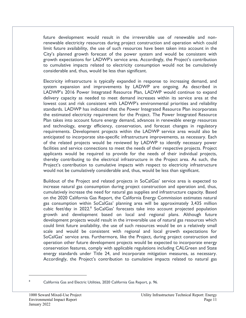future development would result in the irreversible use of renewable and nonrenewable electricity resources during project construction and operation which could limit future availability, the use of such resources have been taken into account in the City's planned growth forecast of the power system and would be consistent with growth expectations for LADWP's service area. Accordingly, the Project's contribution to cumulative impacts related to electricity consumption would not be cumulatively considerable and, thus, would be less than significant.

Electricity infrastructure is typically expanded in response to increasing demand, and system expansion and improvements by LADWP are ongoing. As described in LADWP's 2016 Power Integrated Resource Plan, LADWP would continue to expand delivery capacity as needed to meet demand increases within its service area at the lowest cost and risk consistent with LADWP's environmental priorities and reliability standards. LADWP has indicated that the Power Integrated Resource Plan incorporates the estimated electricity requirement for the Project. The Power Integrated Resource Plan takes into account future energy demand, advances in renewable energy resources and technology, energy efficiency, conservation, and forecast changes in regulatory requirements. Development projects within the LADWP service area would also be anticipated to incorporate site-specific infrastructure improvements, as necessary. Each of the related projects would be reviewed by LADWP to identify necessary power facilities and service connections to meet the needs of their respective projects. Project applicants would be required to provide for the needs of their individual projects, thereby contributing to the electrical infrastructure in the Project area. As such, the Project's contribution to cumulative impacts with respect to electricity infrastructure would not be cumulatively considerable and, thus, would be less than significant.

Buildout of the Project and related projects in SoCalGas' service area is expected to increase natural gas consumption during project construction and operation and, thus, cumulatively increase the need for natural gas supplies and infrastructure capacity. Based on the 2020 California Gas Report, the California Energy Commission estimates natural gas consumption within SoCalGas' planning area will be approximately 3,435 million cubic feet/day in 2022.<sup>8</sup> SoCalGas' forecasts take into account projected population growth and development based on local and regional plans. Although future development projects would result in the irreversible use of natural gas resources which could limit future availability, the use of such resources would be on a relatively small scale and would be consistent with regional and local growth expectations for SoCalGas' service area. Furthermore, like the Project, during project construction and operation other future development projects would be expected to incorporate energy conservation features, comply with applicable regulations including CALGreen and State energy standards under Title 24, and incorporate mitigation measures, as necessary. Accordingly, the Project's contribution to cumulative impacts related to natural gas

8

California Gas and Electric Utilities, 2020 California Gas Report, p. 96.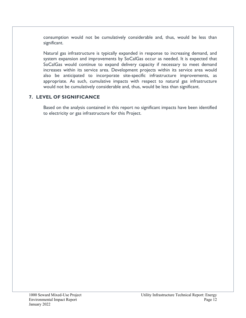consumption would not be cumulatively considerable and, thus, would be less than significant.

Natural gas infrastructure is typically expanded in response to increasing demand, and system expansion and improvements by SoCalGas occur as needed. It is expected that SoCalGas would continue to expand delivery capacity if necessary to meet demand increases within its service area. Development projects within its service area would also be anticipated to incorporate site-specific infrastructure improvements, as appropriate. As such, cumulative impacts with respect to natural gas infrastructure would not be cumulatively considerable and, thus, would be less than significant.

# **7. LEVEL OF SIGNIFICANCE**

Based on the analysis contained in this report no significant impacts have been identified to electricity or gas infrastructure for this Project.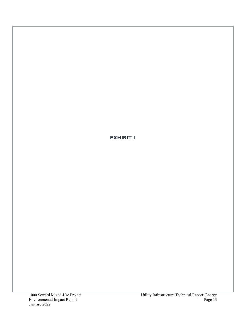**EXHIBIT 1**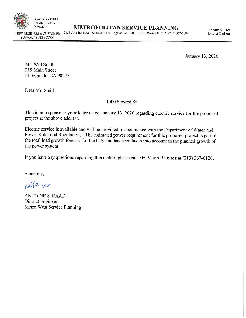

DIVISION **METROPOLITAN SERVICE PLANNING** 

NEW BUSINESS & CUSTOMER 2633 Artesian Street, Suite 250, Los Angeles CA 90031 (213) 367-6000 *FAX:* (213) 367-6089

*Antoine S. Raad*  District Engineer

January 13, 2020

SUPPORT SUBSECTION

Mr. Will Smith 319 Main Street El Segundo, CA 90245

Dear Mr. Smith:

#### 1000 Seward St

This is in response to your letter dated January 13, 2020 regarding electric service for the proposed project at the above address.

Electric service is available and will be provided in accordance with the Department of Water and Power Rules and Regulations. The estimated power requirement for this proposed project is part of the total load growth forecast for the City and has been taken into account in the planned growth of the power system

If you have any questions regarding this matter, please call Mr. Mario Ramirez at (213) 367-6120.

Sincerely,

cttr IAV

ANTOINE S. RAAD District Engineer Metro West Service Planning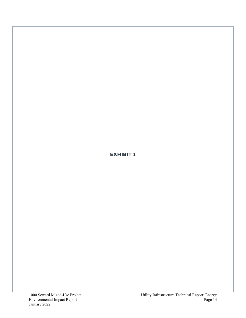**EXHIBIT 2**